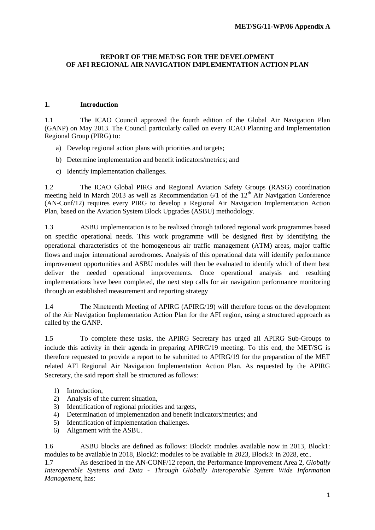#### **REPORT OF THE MET/SG FOR THE DEVELOPMENT OF AFI REGIONAL AIR NAVIGATION IMPLEMENTATION ACTION PLAN**

#### **1. Introduction**

1.1 The ICAO Council approved the fourth edition of the Global Air Navigation Plan (GANP) on May 2013. The Council particularly called on every ICAO Planning and Implementation Regional Group (PIRG) to:

- a) Develop regional action plans with priorities and targets;
- b) Determine implementation and benefit indicators/metrics; and
- c) Identify implementation challenges.

1.2 The ICAO Global PIRG and Regional Aviation Safety Groups (RASG) coordination meeting held in March 2013 as well as Recommendation  $6/1$  of the  $12<sup>th</sup> Air Navigation Conference$ (AN-Conf/12) requires every PIRG to develop a Regional Air Navigation Implementation Action Plan, based on the Aviation System Block Upgrades (ASBU) methodology.

1.3 ASBU implementation is to be realized through tailored regional work programmes based on specific operational needs. This work programme will be designed first by identifying the operational characteristics of the homogeneous air traffic management (ATM) areas, major traffic flows and major international aerodromes. Analysis of this operational data will identify performance improvement opportunities and ASBU modules will then be evaluated to identify which of them best deliver the needed operational improvements. Once operational analysis and resulting implementations have been completed, the next step calls for air navigation performance monitoring through an established measurement and reporting strategy

1.4 The Nineteenth Meeting of APIRG (APIRG/19) will therefore focus on the development of the Air Navigation Implementation Action Plan for the AFI region, using a structured approach as called by the GANP.

1.5 To complete these tasks, the APIRG Secretary has urged all APIRG Sub-Groups to include this activity in their agenda in preparing APIRG/19 meeting. To this end, the MET/SG is therefore requested to provide a report to be submitted to APIRG/19 for the preparation of the MET related AFI Regional Air Navigation Implementation Action Plan. As requested by the APIRG Secretary, the said report shall be structured as follows:

- 1) Introduction,
- 2) Analysis of the current situation,
- 3) Identification of regional priorities and targets,
- 4) Determination of implementation and benefit indicators/metrics; and
- 5) Identification of implementation challenges.
- 6) Alignment with the ASBU.

1.6 ASBU blocks are defined as follows: Block0: modules available now in 2013, Block1: modules to be available in 2018, Block2: modules to be available in 2023, Block3: in 2028, etc..

1.7 As described in the AN-CONF/12 report, the Performance Improvement Area 2, *Globally Interoperable Systems and Data - Through Globally Interoperable System Wide Information Management,* has: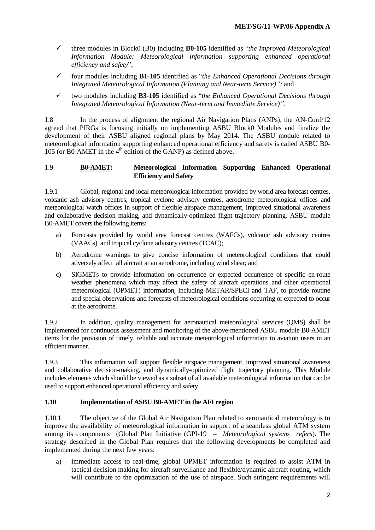- three modules in Block0 (B0) including **B0-105** identified as "*the Improved Meteorological Information Module: Meteorological information supporting enhanced operational efficiency and safety*";
- four modules including **B1-105** identified as "*the Enhanced Operational Decisions through Integrated Meteorological Information (Planning and Near-term Service)";* and
- two modules including **B3-105** identified as "*the Enhanced Operational Decisions through Integrated Meteorological Information (Near-term and Immediate Service)".*

1.8 In the process of alignment the regional Air Navigation Plans (ANPs), the AN-Conf/12 agreed that PIRGs is focusing initially on implementing ASBU Block0 Modules and finalize the development of their ASBU aligned regional plans by May 2014. The ASBU module related to meteorological information supporting enhanced operational efficiency and safety is called ASBU B0- 105 (or B0-AMET in the  $4<sup>th</sup>$  edition of the GANP) as defined above.

#### 1.9 **B0-AMET: Meteorological Information Supporting Enhanced Operational Efficiency and Safety**

1.9.1 Global, regional and local meteorological information provided by world area forecast centres, volcanic ash advisory centres, tropical cyclone advisory centres, aerodrome meteorological offices and meteorological watch offices in support of flexible airspace management, improved situational awareness and collaborative decision making, and dynamically-optimized flight trajectory planning. ASBU module B0-AMET covers the following items:

- a) Forecasts provided by world area forecast centres (WAFCs), volcanic ash advisory centres (VAACs) and tropical cyclone advisory centres (TCAC);
- b) Aerodrome warnings to give concise information of meteorological conditions that could adversely affect all aircraft at an aerodrome, including wind shear; and
- c) SIGMETs to provide information on occurrence or expected occurrence of specific en-route weather phenomena which may affect the safety of aircraft operations and other operational meteorological (OPMET) information, including METAR/SPECI and TAF, to provide routine and special observations and forecasts of meteorological conditions occurring or expected to occur at the aerodrome.

1.9.2 In addition, quality management for aeronautical meteorological services (QMS) shall be implemented for continuous assessment and monitoring of the above-mentioned ASBU module B0-AMET items for the provision of timely, reliable and accurate meteorological information to aviation users in an efficient manner.

1.9.3 This information will support flexible airspace management, improved situational awareness and collaborative decision-making, and dynamically-optimized flight trajectory planning. This Module includes elements which should be viewed as a subset of all available meteorological information that can be used to support enhanced operational efficiency and safety.

## **1.10 Implementation of ASBU B0-AMET in the AFI region**

1.10.1 The objective of the Global Air Navigation Plan related to aeronautical meteorology is to improve the availability of meteorological information in support of a seamless global ATM system among its components (Global Plan Initiative (GPI-19 – *Meteorological systems refers*). The strategy described in the Global Plan requires that the following developments be completed and implemented during the next few years:

a) immediate access to real-time, global OPMET information is required to assist ATM in tactical decision making for aircraft surveillance and flexible/dynamic aircraft routing, which will contribute to the optimization of the use of airspace. Such stringent requirements will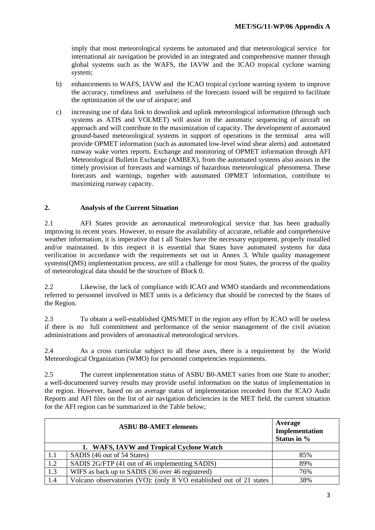imply that most meteorological systems be automated and that meteorological service for international air navigation be provided in an integrated and comprehensive manner through global systems such as the WAFS, the IAVW and the ICAO tropical cyclone warning system;

- b) enhancements to WAFS, IAVW and the ICAO tropical cyclone warning system to improve the accuracy, timeliness and usefulness of the forecasts issued will be required to facilitate the optimization of the use of airspace; and
- c) increasing use of data link to downlink and uplink meteorological information (through such systems as ATIS and VOLMET) will assist in the automatic sequencing of aircraft on approach and will contribute to the maximization of capacity. The development of automated ground-based meteorological systems in support of operations in the terminal area will provide OPMET information (such as automated low-level wind shear alerts) and automated runway wake vortex reports. Exchange and monitoring of OPMET information through AFI Meteorological Bulletin Exchange (AMBEX), from the automated systems also assists in the timely provision of forecasts and warnings of hazardous meteorological phenomena. These forecasts and warnings, together with automated OPMET information, contribute to maximizing runway capacity.

## **2. Analysis of the Current Situation**

2.1 AFI States provide an aeronautical meteorological service that has been gradually improving in recent years. However, to ensure the availability of accurate, reliable and comprehensive weather information, it is imperative that t all States have the necessary equipment, properly installed and/or maintained. In this respect it is essential that States have automated systems for data verification in accordance with the requirements set out in Annex 3. While quality management systems(QMS) implementation process, are still a challenge for most States, the process of the quality of meteorological data should be the structure of Block 0.

2.2 Likewise, the lack of compliance with ICAO and WMO standards and recommendations referred to personnel involved in MET units is a deficiency that should be corrected by the States of the Region.

2.3 To obtain a well-established QMS/MET in the region any effort by ICAO will be useless if there is no full commitment and performance of the senior management of the civil aviation administrations and providers of aeronautical meteorological services.

2.4 As a cross curricular subject to all these axes, there is a requirement by the World Meteorological Organization (WMO) for personnel competencies requirements.

2.5 The current implementation status of ASBU B0-AMET varies from one State to another; a well-documented survey results may provide useful information on the status of implementation in the region. However, based on an average status of implementation recorded from the ICAO Audit Reports and AFI files on the list of air navigation deficiencies in the MET field, the current situation for the AFI region can be summarized in the Table below;

| <b>ASBU B0-AMET elements</b> |                                                                     | Average<br>Implementation<br>Status in % |
|------------------------------|---------------------------------------------------------------------|------------------------------------------|
|                              | 1. WAFS, IAVW and Tropical Cyclone Watch                            |                                          |
| 1.1                          | SADIS (46 out of 54 States)                                         | 85%                                      |
| 1.2                          | SADIS 2G/FTP (41 out of 46 implementing SADIS)                      | 89%                                      |
| 1.3                          | WIFS as back up to SADIS (36 over 46 registered)                    | 76%                                      |
| 1.4                          | Volcano observatories (VO): (only 8 VO established out of 21 states | 38%                                      |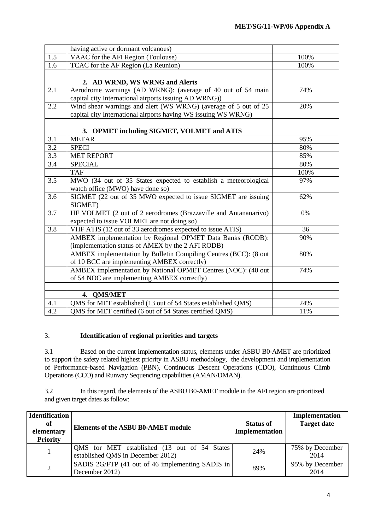|                  | having active or dormant volcanoes)                                                                                               |      |
|------------------|-----------------------------------------------------------------------------------------------------------------------------------|------|
| 1.5              | VAAC for the AFI Region (Toulouse)                                                                                                | 100% |
| 1.6              | TCAC for the AF Region (La Reunion)                                                                                               | 100% |
|                  |                                                                                                                                   |      |
|                  | 2. AD WRND, WS WRNG and Alerts                                                                                                    |      |
| 2.1              | Aerodrome warnings (AD WRNG): (average of 40 out of 54 main<br>capital city International airports issuing AD WRNG))              | 74%  |
| 2.2              | Wind shear warnings and alert (WS WRNG) (average of 5 out of 25<br>capital city International airports having WS issuing WS WRNG) | 20%  |
|                  |                                                                                                                                   |      |
|                  | 3. OPMET including SIGMET, VOLMET and ATIS                                                                                        |      |
| 3.1              | <b>METAR</b>                                                                                                                      | 95%  |
| 3.2              | <b>SPECI</b>                                                                                                                      | 80%  |
| $\overline{3.3}$ | <b>MET REPORT</b>                                                                                                                 | 85%  |
| 3.4              | <b>SPECIAL</b>                                                                                                                    | 80%  |
|                  | <b>TAF</b>                                                                                                                        | 100% |
| 3.5              | MWO (34 out of 35 States expected to establish a meteorological<br>watch office (MWO) have done so)                               | 97%  |
| 3.6              | SIGMET (22 out of 35 MWO expected to issue SIGMET are issuing<br>SIGMET)                                                          | 62%  |
| 3.7              | HF VOLMET (2 out of 2 aerodromes (Brazzaville and Antananarivo)<br>expected to issue VOLMET are not doing so)                     | 0%   |
| 3.8              | VHF ATIS (12 out of 33 aerodromes expected to issue ATIS)                                                                         | 36   |
|                  | AMBEX implementation by Regional OPMET Data Banks (RODB):<br>(implementation status of AMEX by the 2 AFI RODB)                    | 90%  |
|                  | AMBEX implementation by Bulletin Compiling Centres (BCC): (8 out<br>of 10 BCC are implementing AMBEX correctly)                   | 80%  |
|                  | AMBEX implementation by National OPMET Centres (NOC): (40 out<br>of 54 NOC are implementing AMBEX correctly)                      | 74%  |
|                  |                                                                                                                                   |      |
|                  | 4. QMS/MET                                                                                                                        |      |
| 4.1              | QMS for MET established (13 out of 54 States established QMS)                                                                     | 24%  |
| $4.\overline{2}$ | QMS for MET certified (6 out of 54 States certified QMS)                                                                          | 11%  |

# 3. **Identification of regional priorities and targets**

3.1 Based on the current implementation status, elements under ASBU B0-AMET are prioritized to support the safety related highest priority in ASBU methodology, the development and implementation of Performance-based Navigation (PBN), Continuous Descent Operations (CDO), Continuous Climb Operations (CCO) and Runway Sequencing capabilities (AMAN/DMAN).

3.2 In this regard, the elements of the ASBU B0-AMET module in the AFI region are prioritized and given target dates as follow:

| <b>Identification</b><br>of<br>elementary<br><b>Priority</b> | <b>Elements of the ASBU B0-AMET module</b>                                         | <b>Status of</b><br>Implementation | Implementation<br><b>Target date</b> |
|--------------------------------------------------------------|------------------------------------------------------------------------------------|------------------------------------|--------------------------------------|
|                                                              | QMS for MET established (13 out of 54 States)<br>established QMS in December 2012) | 24%                                | 75% by December<br>2014              |
| $\overline{2}$                                               | SADIS 2G/FTP (41 out of 46 implementing SADIS in<br>December 2012)                 | 89%                                | 95% by December<br>2014              |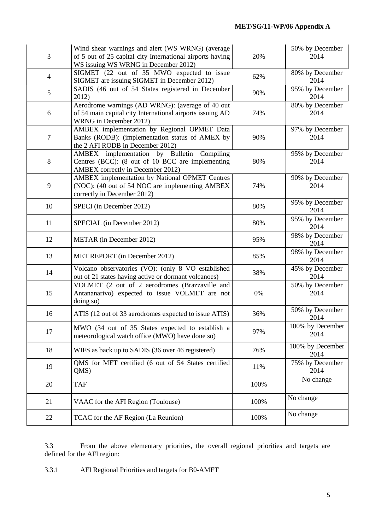| 3                | Wind shear warnings and alert (WS WRNG) (average<br>of 5 out of 25 capital city International airports having<br>WS issuing WS WRNG in December 2012) | 20%  | 50% by December<br>2014  |
|------------------|-------------------------------------------------------------------------------------------------------------------------------------------------------|------|--------------------------|
| $\overline{4}$   | SIGMET (22 out of 35 MWO expected to issue<br>SIGMET are issuing SIGMET in December 2012)                                                             | 62%  | 80% by December<br>2014  |
| 5                | SADIS (46 out of 54 States registered in December<br>2012)                                                                                            | 90%  | 95% by December<br>2014  |
| 6                | Aerodrome warnings (AD WRNG): (average of 40 out<br>of 54 main capital city International airports issuing AD<br>WRNG in December 2012)               | 74%  | 80% by December<br>2014  |
| $\boldsymbol{7}$ | AMBEX implementation by Regional OPMET Data<br>Banks (RODB): (implementation status of AMEX by<br>the 2 AFI RODB in December 2012)                    | 90%  | 97% by December<br>2014  |
| $8\,$            | AMBEX implementation by Bulletin<br>Compiling<br>Centres (BCC): (8 out of 10 BCC are implementing<br>AMBEX correctly in December 2012)                | 80%  | 95% by December<br>2014  |
| 9                | AMBEX implementation by National OPMET Centres<br>(NOC): (40 out of 54 NOC are implementing AMBEX<br>correctly in December 2012)                      | 74%  | 90% by December<br>2014  |
| 10               | SPECI (in December 2012)                                                                                                                              | 80%  | 95% by December<br>2014  |
| 11               | SPECIAL (in December 2012)                                                                                                                            | 80%  | 95% by December<br>2014  |
| 12               | METAR (in December 2012)                                                                                                                              | 95%  | 98% by December<br>2014  |
| 13               | MET REPORT (in December 2012)                                                                                                                         | 85%  | 98% by December<br>2014  |
| 14               | Volcano observatories (VO): (only 8 VO established<br>out of 21 states having active or dormant volcanoes)                                            | 38%  | 45% by December<br>2014  |
| 15               | VOLMET (2 out of 2 aerodromes (Brazzaville and<br>Antananarivo) expected to issue VOLMET are not<br>doing so)                                         | 0%   | 50% by December<br>2014  |
| 16               | ATIS (12 out of 33 aerodromes expected to issue ATIS)                                                                                                 | 36%  | 50% by December<br>2014  |
| 17               | MWO (34 out of 35 States expected to establish a<br>meteorological watch office (MWO) have done so)                                                   | 97%  | 100% by December<br>2014 |
| 18               | WIFS as back up to SADIS (36 over 46 registered)                                                                                                      | 76%  | 100% by December<br>2014 |
| 19               | QMS for MET certified (6 out of 54 States certified<br>QMS)                                                                                           | 11%  | 75% by December<br>2014  |
| 20               | <b>TAF</b>                                                                                                                                            | 100% | No change                |
| 21               | VAAC for the AFI Region (Toulouse)                                                                                                                    | 100% | No change                |
| 22               | TCAC for the AF Region (La Reunion)                                                                                                                   | 100% | No change                |

3.3 From the above elementary priorities, the overall regional priorities and targets are defined for the AFI region:

3.3.1 AFI Regional Priorities and targets for B0-AMET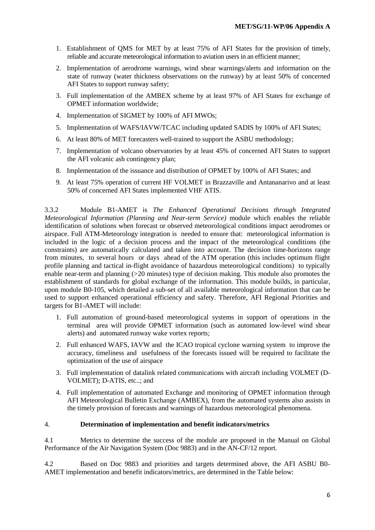- 1. Establishment of QMS for MET by at least 75% of AFI States for the provision of timely, reliable and accurate meteorological information to aviation users in an efficient manner;
- 2. Implementation of aerodrome warnings, wind shear warnings/alerts and information on the state of runway (water thickness observations on the runway) by at least 50% of concerned AFI States to support runway safety;
- 3. Full implementation of the AMBEX scheme by at least 97% of AFI States for exchange of OPMET information worldwide;
- 4. Implementation of SIGMET by 100% of AFI MWOs;
- 5. Implementation of WAFS/IAVW/TCAC including updated SADIS by 100% of AFI States;
- 6. At least 80% of MET forecasters well-trained to support the ASBU methodology;
- 7. Implementation of volcano observatories by at least 45% of concerned AFI States to support the AFI volcanic ash contingency plan;
- 8. Implementation of the issuance and distribution of OPMET by 100% of AFI States; and
- 9. At least 75% operation of current HF VOLMET in Brazzaville and Antananarivo and at least 50% of concerned AFI States implemented VHF ATIS.

3.3.2 Module B1-AMET is *The Enhanced Operational Decisions through Integrated Meteorological Information (Planning and Near-term Service)* module which enables the reliable identification of solutions when forecast or observed meteorological conditions impact aerodromes or airspace. Full ATM-Meteorology integration is needed to ensure that: meteorological information is included in the logic of a decision process and the impact of the meteorological conditions (the constraints) are automatically calculated and taken into account. The decision time-horizons range from minutes, to several hours or days ahead of the ATM operation (this includes optimum flight profile planning and tactical in-flight avoidance of hazardous meteorological conditions) to typically enable near-term and planning  $(>=20 \text{ minutes})$  type of decision making. This module also promotes the establishment of standards for global exchange of the information. This module builds, in particular, upon module B0-105, which detailed a sub-set of all available meteorological information that can be used to support enhanced operational efficiency and safety. Therefore, AFI Regional Priorities and targets for B1-AMET will include:

- 1. Full automation of ground-based meteorological systems in support of operations in the terminal area will provide OPMET information (such as automated low-level wind shear alerts) and automated runway wake vortex reports;
- 2. Full enhanced WAFS, IAVW and the ICAO tropical cyclone warning system to improve the accuracy, timeliness and usefulness of the forecasts issued will be required to facilitate the optimization of the use of airspace
- 3. Full implementation of datalink related communications with aircraft including VOLMET (D-VOLMET); D-ATIS, etc..; and
- 4. Full implementation of automated Exchange and monitoring of OPMET information through AFI Meteorological Bulletin Exchange (AMBEX), from the automated systems also assists in the timely provision of forecasts and warnings of hazardous meteorological phenomena.

#### 4. **Determination of implementation and benefit indicators/metrics**

4.1 Metrics to determine the success of the module are proposed in the Manual on Global Performance of the Air Navigation System (Doc 9883) and in the AN-CF/12 report.

4.2 Based on Doc 9883 and priorities and targets determined above, the AFI ASBU B0- AMET implementation and benefit indicators/metrics, are determined in the Table below: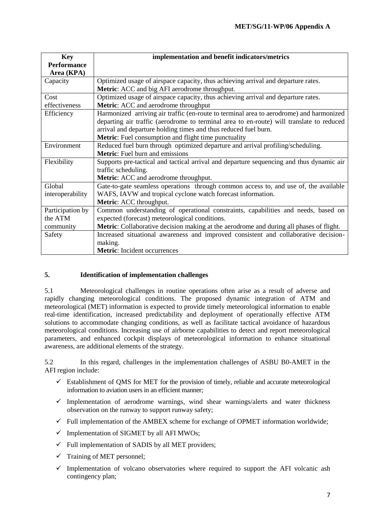| <b>Key</b>         | implementation and benefit indicators/metrics                                            |
|--------------------|------------------------------------------------------------------------------------------|
| <b>Performance</b> |                                                                                          |
| Area (KPA)         |                                                                                          |
| Capacity           | Optimized usage of airspace capacity, thus achieving arrival and departure rates.        |
|                    | Metric: ACC and big AFI aerodrome throughput.                                            |
| Cost               | Optimized usage of airspace capacity, thus achieving arrival and departure rates.        |
| effectiveness      | Metric: ACC and aerodrome throughput                                                     |
| Efficiency         | Harmonized arriving air traffic (en-route to terminal area to aerodrome) and harmonized  |
|                    | departing air traffic (aerodrome to terminal area to en-route) will translate to reduced |
|                    | arrival and departure holding times and thus reduced fuel burn.                          |
|                    | <b>Metric:</b> Fuel consumption and flight time punctuality                              |
| Environment        | Reduced fuel burn through optimized departure and arrival profiling/scheduling.          |
|                    | <b>Metric:</b> Fuel burn and emissions                                                   |
| Flexibility        | Supports pre-tactical and tactical arrival and departure sequencing and thus dynamic air |
|                    | traffic scheduling.                                                                      |
|                    | Metric: ACC and aerodrome throughput.                                                    |
| Global             | Gate-to-gate seamless operations through common access to, and use of, the available     |
| interoperability   | WAFS, IAVW and tropical cyclone watch forecast information.                              |
|                    | Metric: ACC throughput.                                                                  |
| Participation by   | Common understanding of operational constraints, capabilities and needs, based on        |
| the ATM            | expected (forecast) meteorological conditions.                                           |
| community          | Metric: Collaborative decision making at the aerodrome and during all phases of flight.  |
| Safety             | Increased situational awareness and improved consistent and collaborative decision-      |
|                    | making.                                                                                  |
|                    | <b>Metric:</b> Incident occurrences                                                      |

## **5. Identification of implementation challenges**

5.1 Meteorological challenges in routine operations often arise as a result of adverse and rapidly changing meteorological conditions. The proposed dynamic integration of ATM and meteorological (MET) information is expected to provide timely meteorological information to enable real-time identification, increased predictability and deployment of operationally effective ATM solutions to accommodate changing conditions, as well as facilitate tactical avoidance of hazardous meteorological conditions. Increasing use of airborne capabilities to detect and report meteorological parameters, and enhanced cockpit displays of meteorological information to enhance situational awareness, are additional elements of the strategy.

5.2 In this regard, challenges in the implementation challenges of ASBU B0-AMET in the AFI region include:

- $\checkmark$  Establishment of QMS for MET for the provision of timely, reliable and accurate meteorological information to aviation users in an efficient manner;
- $\checkmark$  Implementation of aerodrome warnings, wind shear warnings/alerts and water thickness observation on the runway to support runway safety;
- $\checkmark$  Full implementation of the AMBEX scheme for exchange of OPMET information worldwide;
- $\checkmark$  Implementation of SIGMET by all AFI MWOs;
- $\checkmark$  Full implementation of SADIS by all MET providers;
- $\checkmark$  Training of MET personnel;
- $\checkmark$  Implementation of volcano observatories where required to support the AFI volcanic ash contingency plan;